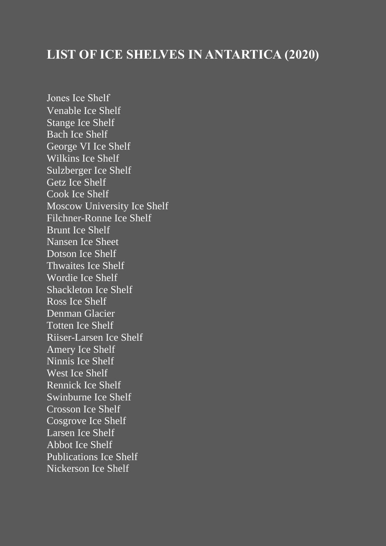# **LIST OF ICE SHELVES IN ANTARTICA (2020)**

Jones Ice Shelf [Venable Ice Shelf](https://en.wikipedia.org/wiki/Venable_Ice_Shelf) [Stange Ice Shelf](https://en.wikipedia.org/wiki/Stange_Ice_Shelf) [Bach Ice Shelf](https://en.wikipedia.org/wiki/Bach_Ice_Shelf) [George VI Ice Shelf](https://en.wikipedia.org/wiki/George_VI_Ice_Shelf) [Wilkins Ice Shelf](https://en.wikipedia.org/wiki/Wilkins_Ice_Shelf) [Sulzberger Ice Shelf](https://en.wikipedia.org/wiki/Sulzberger_Ice_Shelf) [Getz Ice Shelf](https://en.wikipedia.org/wiki/Getz_Ice_Shelf) [Cook Ice Shelf](https://en.wikipedia.org/wiki/Cook_Ice_Shelf) [Moscow University Ice Shelf](https://en.wikipedia.org/wiki/Moscow_University_Ice_Shelf) [Filchner-Ronne Ice Shelf](https://en.wikipedia.org/wiki/Filchner_Ice_Shelf) [Brunt Ice Shelf](https://en.wikipedia.org/wiki/Brunt_Ice_Shelf) [Nansen Ice Sheet](https://en.wikipedia.org/wiki/Nansen_Ice_Sheet) Dotson Ice Shelf [Thwaites Ice Shelf](https://en.wikipedia.org/wiki/Thwaites_Ice_Shelf) Wordie Ice Shelf [Shackleton Ice Shelf](https://en.wikipedia.org/wiki/Shackleton_Ice_Shelf) [Ross Ice Shelf](https://en.wikipedia.org/wiki/Ross_Ice_Shelf) Denman Glacier [Totten Ice Shelf](https://en.wikipedia.org/wiki/Totten_Ice_Shelf) [Riiser-Larsen](https://en.wikipedia.org/wiki/Riiser-Larsen_Ice_Shelf) Ice Shelf [Amery Ice Shelf](https://en.wikipedia.org/wiki/Amery_Ice_Shelf) [Ninnis Ice Shelf](https://en.wikipedia.org/w/index.php?title=Ninnis_Ice_Shelf&action=edit&redlink=1) [West Ice Shelf](https://en.wikipedia.org/wiki/West_Ice_Shelf) [Rennick Ice Shelf](https://en.wikipedia.org/w/index.php?title=Rennick_Ice_Shelf&action=edit&redlink=1) [Swinburne Ice Shelf](https://en.wikipedia.org/wiki/Swinburne_Ice_Shelf) [Crosson Ice Shelf](https://en.wikipedia.org/wiki/Crosson_Ice_Shelf) Cosgrove Ice Shelf Larsen Ice Shelf [Abbot Ice Shelf](https://en.wikipedia.org/wiki/Abbot_Ice_Shelf) Publications Ice Shelf [Nickerson Ice Shelf](https://en.wikipedia.org/wiki/Nickerson_Ice_Shelf)